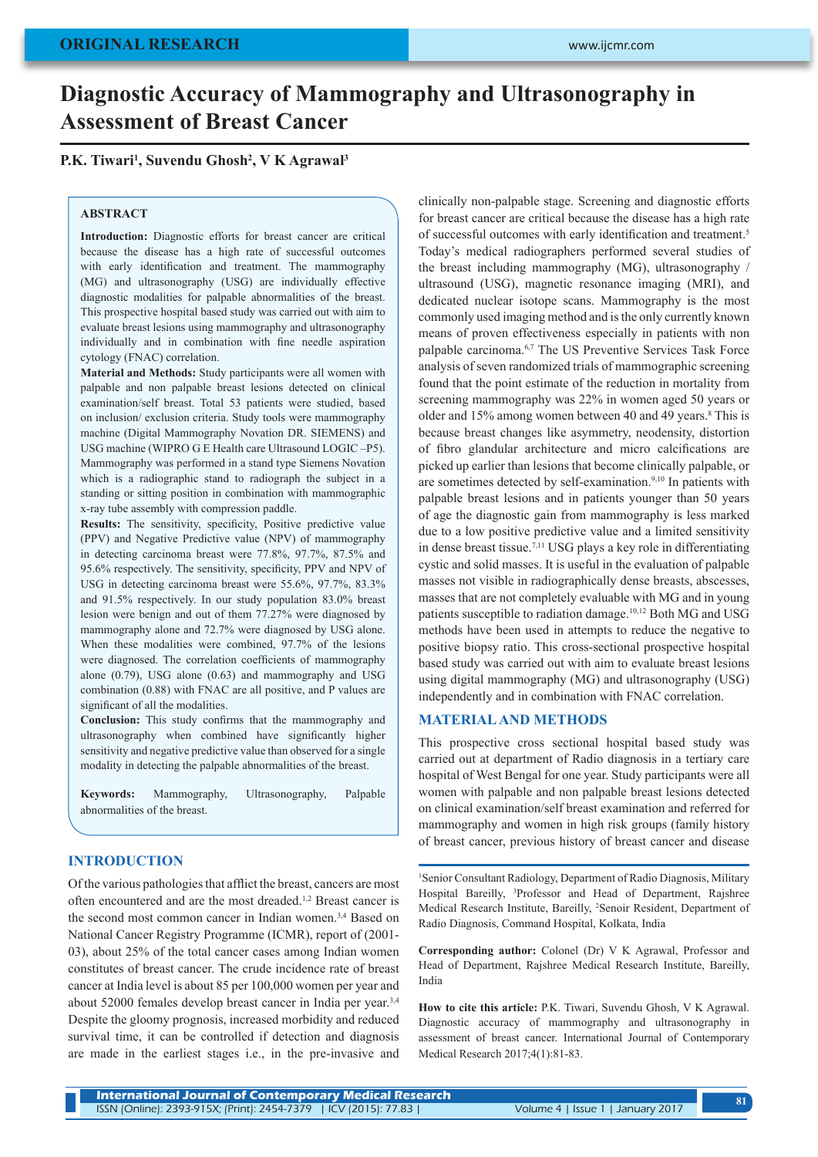# **Diagnostic Accuracy of Mammography and Ultrasonography in Assessment of Breast Cancer**

## **P.K. Tiwari1 , Suvendu Ghosh2 , V K Agrawal3**

#### **ABSTRACT**

**Introduction:** Diagnostic efforts for breast cancer are critical because the disease has a high rate of successful outcomes with early identification and treatment. The mammography (MG) and ultrasonography (USG) are individually effective diagnostic modalities for palpable abnormalities of the breast. This prospective hospital based study was carried out with aim to evaluate breast lesions using mammography and ultrasonography individually and in combination with fine needle aspiration cytology (FNAC) correlation.

**Material and Methods:** Study participants were all women with palpable and non palpable breast lesions detected on clinical examination/self breast. Total 53 patients were studied, based on inclusion/ exclusion criteria. Study tools were mammography machine (Digital Mammography Novation DR. SIEMENS) and USG machine (WIPRO G E Health care Ultrasound LOGIC –P5). Mammography was performed in a stand type Siemens Novation which is a radiographic stand to radiograph the subject in a standing or sitting position in combination with mammographic x-ray tube assembly with compression paddle.

**Results:** The sensitivity, specificity, Positive predictive value (PPV) and Negative Predictive value (NPV) of mammography in detecting carcinoma breast were 77.8%, 97.7%, 87.5% and 95.6% respectively. The sensitivity, specificity, PPV and NPV of USG in detecting carcinoma breast were 55.6%, 97.7%, 83.3% and 91.5% respectively. In our study population 83.0% breast lesion were benign and out of them 77.27% were diagnosed by mammography alone and 72.7% were diagnosed by USG alone. When these modalities were combined, 97.7% of the lesions were diagnosed. The correlation coefficients of mammography alone (0.79), USG alone (0.63) and mammography and USG combination (0.88) with FNAC are all positive, and P values are significant of all the modalities.

**Conclusion:** This study confirms that the mammography and ultrasonography when combined have significantly higher sensitivity and negative predictive value than observed for a single modality in detecting the palpable abnormalities of the breast.

**Keywords:** Mammography, Ultrasonography, Palpable abnormalities of the breast.

### **INTRODUCTION**

Of the various pathologies that afflict the breast, cancers are most often encountered and are the most dreaded.1,2 Breast cancer is the second most common cancer in Indian women.<sup>3,4</sup> Based on National Cancer Registry Programme (ICMR), report of (2001- 03), about 25% of the total cancer cases among Indian women constitutes of breast cancer. The crude incidence rate of breast cancer at India level is about 85 per 100,000 women per year and about 52000 females develop breast cancer in India per year.3,4 Despite the gloomy prognosis, increased morbidity and reduced survival time, it can be controlled if detection and diagnosis are made in the earliest stages i.e., in the pre-invasive and clinically non-palpable stage. Screening and diagnostic efforts for breast cancer are critical because the disease has a high rate of successful outcomes with early identification and treatment.5 Today's medical radiographers performed several studies of the breast including mammography (MG), ultrasonography / ultrasound (USG), magnetic resonance imaging (MRI), and dedicated nuclear isotope scans. Mammography is the most commonly used imaging method and is the only currently known means of proven effectiveness especially in patients with non palpable carcinoma.6,7 The US Preventive Services Task Force analysis of seven randomized trials of mammographic screening found that the point estimate of the reduction in mortality from screening mammography was 22% in women aged 50 years or older and 15% among women between 40 and 49 years.<sup>8</sup> This is because breast changes like asymmetry, neodensity, distortion of fibro glandular architecture and micro calcifications are picked up earlier than lesions that become clinically palpable, or are sometimes detected by self-examination.9,10 In patients with palpable breast lesions and in patients younger than 50 years of age the diagnostic gain from mammography is less marked due to a low positive predictive value and a limited sensitivity in dense breast tissue.7,11 USG plays a key role in differentiating cystic and solid masses. It is useful in the evaluation of palpable masses not visible in radiographically dense breasts, abscesses, masses that are not completely evaluable with MG and in young patients susceptible to radiation damage.10,12 Both MG and USG methods have been used in attempts to reduce the negative to positive biopsy ratio. This cross-sectional prospective hospital based study was carried out with aim to evaluate breast lesions using digital mammography (MG) and ultrasonography (USG) independently and in combination with FNAC correlation.

### **MATERIAL AND METHODS**

This prospective cross sectional hospital based study was carried out at department of Radio diagnosis in a tertiary care hospital of West Bengal for one year. Study participants were all women with palpable and non palpable breast lesions detected on clinical examination/self breast examination and referred for mammography and women in high risk groups (family history of breast cancer, previous history of breast cancer and disease

1 Senior Consultant Radiology, Department of Radio Diagnosis, Military Hospital Bareilly, <sup>3</sup>Professor and Head of Department, Rajshree Medical Research Institute, Bareilly, 2 Senoir Resident, Department of Radio Diagnosis, Command Hospital, Kolkata, India

**Corresponding author:** Colonel (Dr) V K Agrawal, Professor and Head of Department, Rajshree Medical Research Institute, Bareilly, India

**How to cite this article:** P.K. Tiwari, Suvendu Ghosh, V K Agrawal. Diagnostic accuracy of mammography and ultrasonography in assessment of breast cancer. International Journal of Contemporary Medical Research 2017;4(1):81-83.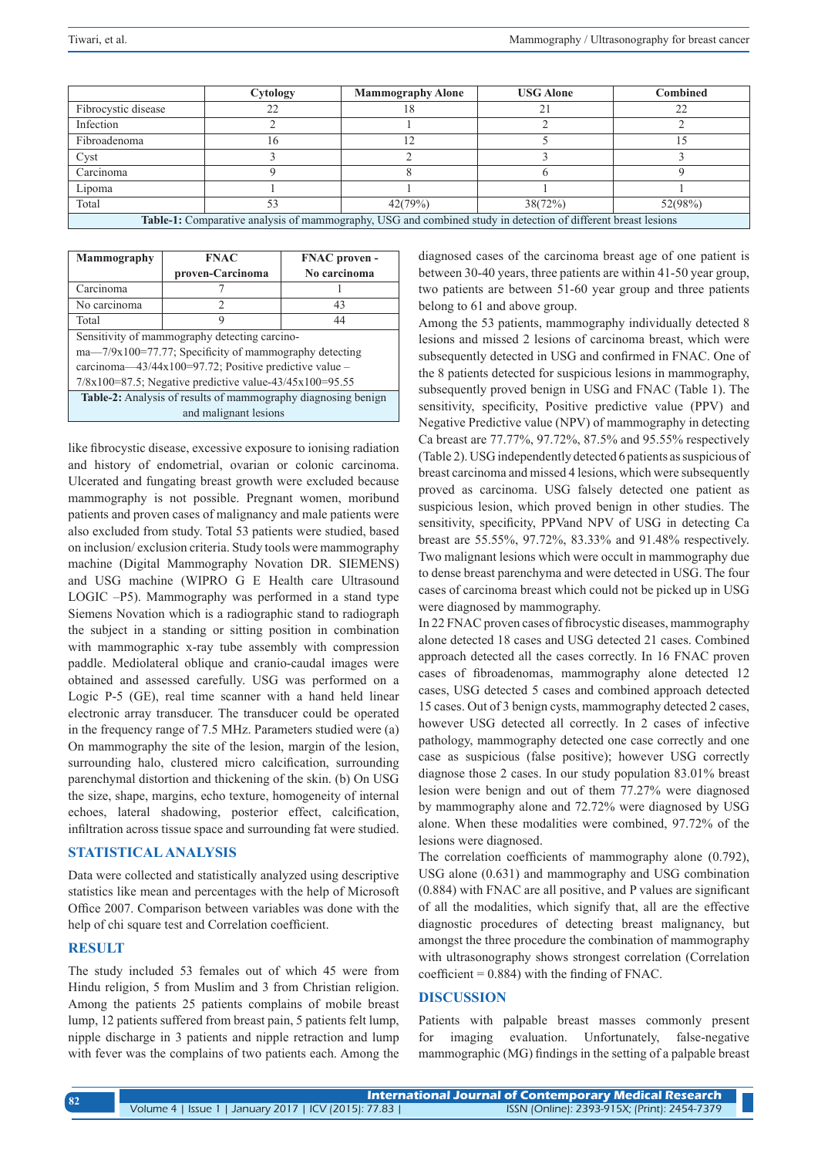|                                                                                                               | Cytology | <b>Mammography Alone</b> | <b>USG Alone</b> | <b>Combined</b> |  |
|---------------------------------------------------------------------------------------------------------------|----------|--------------------------|------------------|-----------------|--|
| Fibrocystic disease                                                                                           | 22       |                          | 21               | 22              |  |
| Infection                                                                                                     |          |                          |                  |                 |  |
| Fibroadenoma                                                                                                  | 16       | 1 າ                      |                  |                 |  |
| Cyst                                                                                                          |          |                          |                  |                 |  |
| Carcinoma                                                                                                     |          |                          |                  |                 |  |
| Lipoma                                                                                                        |          |                          |                  |                 |  |
| Total                                                                                                         |          | 42(79%)                  | 38(72%)          | 52(98%)         |  |
| Table-1: Comparative analysis of mammography, USG and combined study in detection of different breast lesions |          |                          |                  |                 |  |

| Mammography                                                          | <b>FNAC</b>      | <b>FNAC</b> proven - |  |  |  |
|----------------------------------------------------------------------|------------------|----------------------|--|--|--|
|                                                                      | proven-Carcinoma | No carcinoma         |  |  |  |
| Carcinoma                                                            |                  |                      |  |  |  |
| No carcinoma                                                         | $\mathcal{D}$    | 43                   |  |  |  |
| Total                                                                | 9                | 44                   |  |  |  |
| Sensitivity of mammography detecting carcino-                        |                  |                      |  |  |  |
| $ma - 7/9x100 = 77.77$ ; Specificity of mammography detecting        |                  |                      |  |  |  |
| carcinoma—43/44x100=97.72; Positive predictive value –               |                  |                      |  |  |  |
| $7/8x100=87.5$ ; Negative predictive value- $43/45x100=95.55$        |                  |                      |  |  |  |
| <b>Table-2:</b> Analysis of results of mammography diagnosing benign |                  |                      |  |  |  |
| and malignant lesions                                                |                  |                      |  |  |  |

like fibrocystic disease, excessive exposure to ionising radiation and history of endometrial, ovarian or colonic carcinoma. Ulcerated and fungating breast growth were excluded because mammography is not possible. Pregnant women, moribund patients and proven cases of malignancy and male patients were also excluded from study. Total 53 patients were studied, based on inclusion/ exclusion criteria. Study tools were mammography machine (Digital Mammography Novation DR. SIEMENS) and USG machine (WIPRO G E Health care Ultrasound LOGIC –P5). Mammography was performed in a stand type Siemens Novation which is a radiographic stand to radiograph the subject in a standing or sitting position in combination with mammographic x-ray tube assembly with compression paddle. Mediolateral oblique and cranio-caudal images were obtained and assessed carefully. USG was performed on a Logic P-5 (GE), real time scanner with a hand held linear electronic array transducer. The transducer could be operated in the frequency range of 7.5 MHz. Parameters studied were (a) On mammography the site of the lesion, margin of the lesion, surrounding halo, clustered micro calcification, surrounding parenchymal distortion and thickening of the skin. (b) On USG the size, shape, margins, echo texture, homogeneity of internal echoes, lateral shadowing, posterior effect, calcification, infiltration across tissue space and surrounding fat were studied.

## **STATISTICAL ANALYSIS**

Data were collected and statistically analyzed using descriptive statistics like mean and percentages with the help of Microsoft Office 2007. Comparison between variables was done with the help of chi square test and Correlation coefficient.

## **RESULT**

The study included 53 females out of which 45 were from Hindu religion, 5 from Muslim and 3 from Christian religion. Among the patients 25 patients complains of mobile breast lump, 12 patients suffered from breast pain, 5 patients felt lump, nipple discharge in 3 patients and nipple retraction and lump with fever was the complains of two patients each. Among the diagnosed cases of the carcinoma breast age of one patient is between 30-40 years, three patients are within 41-50 year group, two patients are between 51-60 year group and three patients belong to 61 and above group.

Among the 53 patients, mammography individually detected 8 lesions and missed 2 lesions of carcinoma breast, which were subsequently detected in USG and confirmed in FNAC. One of the 8 patients detected for suspicious lesions in mammography, subsequently proved benign in USG and FNAC (Table 1). The sensitivity, specificity, Positive predictive value (PPV) and Negative Predictive value (NPV) of mammography in detecting Ca breast are 77.77%, 97.72%, 87.5% and 95.55% respectively (Table 2). USG independently detected 6 patients as suspicious of breast carcinoma and missed 4 lesions, which were subsequently proved as carcinoma. USG falsely detected one patient as suspicious lesion, which proved benign in other studies. The sensitivity, specificity, PPVand NPV of USG in detecting Ca breast are 55.55%, 97.72%, 83.33% and 91.48% respectively. Two malignant lesions which were occult in mammography due to dense breast parenchyma and were detected in USG. The four cases of carcinoma breast which could not be picked up in USG were diagnosed by mammography.

In 22 FNAC proven cases of fibrocystic diseases, mammography alone detected 18 cases and USG detected 21 cases. Combined approach detected all the cases correctly. In 16 FNAC proven cases of fibroadenomas, mammography alone detected 12 cases, USG detected 5 cases and combined approach detected 15 cases. Out of 3 benign cysts, mammography detected 2 cases, however USG detected all correctly. In 2 cases of infective pathology, mammography detected one case correctly and one case as suspicious (false positive); however USG correctly diagnose those 2 cases. In our study population 83.01% breast lesion were benign and out of them 77.27% were diagnosed by mammography alone and 72.72% were diagnosed by USG alone. When these modalities were combined, 97.72% of the lesions were diagnosed.

The correlation coefficients of mammography alone (0.792), USG alone (0.631) and mammography and USG combination (0.884) with FNAC are all positive, and P values are significant of all the modalities, which signify that, all are the effective diagnostic procedures of detecting breast malignancy, but amongst the three procedure the combination of mammography with ultrasonography shows strongest correlation (Correlation coefficient  $= 0.884$ ) with the finding of FNAC.

## **DISCUSSION**

Patients with palpable breast masses commonly present for imaging evaluation. Unfortunately, false-negative mammographic (MG) findings in the setting of a palpable breast